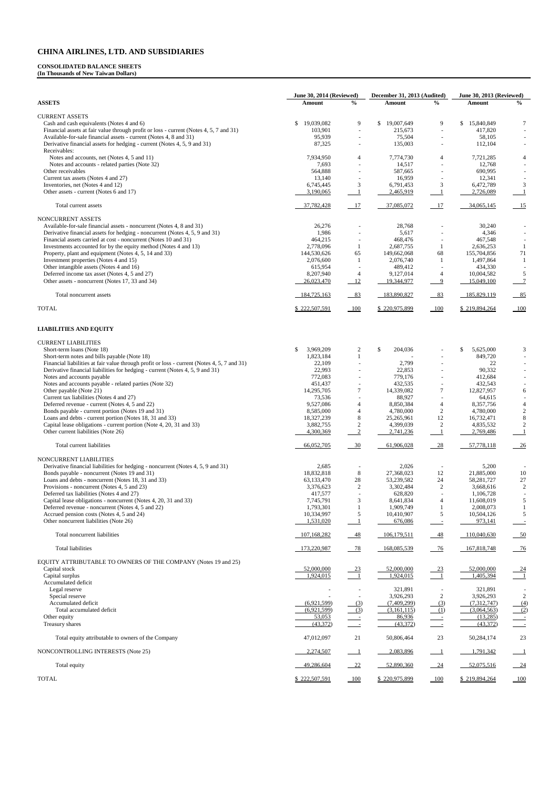### **CONSOLIDATED BALANCE SHEETS**

**(In Thousands of New Taiwan Dollars)** 

|                                                                                                                                                             | June 30, 2014 (Reviewed) | December 31, 2013 (Audited)        |                          | <b>June 30, 2013 (Reviewed)</b>    |                          |                          |
|-------------------------------------------------------------------------------------------------------------------------------------------------------------|--------------------------|------------------------------------|--------------------------|------------------------------------|--------------------------|--------------------------|
| <b>ASSETS</b>                                                                                                                                               | Amount                   | $\frac{6}{6}$                      | Amount                   | $\frac{0}{0}$                      | Amount                   | $\frac{0}{0}$            |
| <b>CURRENT ASSETS</b>                                                                                                                                       |                          |                                    |                          |                                    |                          |                          |
| Cash and cash equivalents (Notes 4 and 6)                                                                                                                   | 19,039,082<br>\$         | 9                                  | \$19,007,649             | 9                                  | \$<br>15,840,849         | 7                        |
| Financial assets at fair value through profit or loss - current (Notes 4, 5, 7 and 31)<br>Available-for-sale financial assets - current (Notes 4, 8 and 31) | 103,901<br>95,939        | $\sim$<br>$\overline{\phantom{a}}$ | 215,673<br>75,504        | $\sim$<br>$\overline{\phantom{a}}$ | 417,820<br>58,105        |                          |
| Derivative financial assets for hedging - current (Notes 4, 5, 9 and 31)                                                                                    | 87,325                   |                                    | 135,003                  |                                    | 112,104                  |                          |
| Receivables:                                                                                                                                                |                          |                                    |                          |                                    |                          |                          |
| Notes and accounts, net (Notes 4, 5 and 11)<br>Notes and accounts - related parties (Note 32)                                                               | 7,934,950<br>7,693       | 4                                  | 7,774,730<br>14,517      | 4                                  | 7,721,285<br>12,768      | 4                        |
| Other receivables                                                                                                                                           | 564,888                  | $\overline{\phantom{a}}$           | 587,665                  | $\overline{\phantom{a}}$           | 690,995                  |                          |
| Current tax assets (Notes 4 and 27)                                                                                                                         | 13,140                   |                                    | 16,959                   |                                    | 12,341                   |                          |
| Inventories, net (Notes 4 and 12)                                                                                                                           | 6,745,445                | 3                                  | 6,791,453                | 3                                  | 6,472,789                | 3                        |
| Other assets - current (Notes 6 and 17)                                                                                                                     | 3,190,065                | 1                                  | 2,465,919                | -1                                 | 2,726,089                | $\overline{1}$           |
| Total current assets                                                                                                                                        | 37,782,428               | 17                                 | 37,085,072               | 17                                 | 34,065,145               | $\overline{15}$          |
| <b>NONCURRENT ASSETS</b>                                                                                                                                    |                          |                                    |                          |                                    |                          |                          |
| Available-for-sale financial assets - noncurrent (Notes 4, 8 and 31)                                                                                        | 26,276                   |                                    | 28,768                   |                                    | 30,240                   |                          |
| Derivative financial assets for hedging - noncurrent (Notes 4, 5, 9 and 31)                                                                                 | 1,986                    |                                    | 5,617                    |                                    | 4,346                    |                          |
| Financial assets carried at cost - noncurrent (Notes 10 and 31)<br>Investments accounted for by the equity method (Notes 4 and 13)                          | 464,215<br>2,778,096     | 1                                  | 468,476<br>2,687,755     | 1                                  | 467,548<br>2,636,253     | -1                       |
| Property, plant and equipment (Notes 4, 5, 14 and 33)                                                                                                       | 144,530,626              | 65                                 | 149,662,068              | 68                                 | 155,704,856              | $71\,$                   |
| Investment properties (Notes 4 and 15)                                                                                                                      | 2,076,600                | 1                                  | 2,076,740                | -1                                 | 1,497,864                | -1                       |
| Other intangible assets (Notes 4 and 16)                                                                                                                    | 615,954                  |                                    | 489,412                  |                                    | 434,330                  |                          |
| Deferred income tax asset (Notes 4, 5 and 27)                                                                                                               | 8,207,940                | 4                                  | 9,127,014                | 4                                  | 10,004,582               | 5                        |
| Other assets - noncurrent (Notes 17, 33 and 34)                                                                                                             | 26,023,470               | 12                                 | 19,344,977               | $\overline{9}$                     | 15,049,100               | $\overline{7}$           |
| Total noncurrent assets                                                                                                                                     | 184,725,163              | $-83$                              | 183,890,827              | $-83$                              | 185,829,119              | 85                       |
| <b>TOTAL</b>                                                                                                                                                | \$222,507,591            | $-100$                             | \$220,975,899            | 100                                | \$219,894,264            | $-100$                   |
| <b>LIABILITIES AND EQUITY</b>                                                                                                                               |                          |                                    |                          |                                    |                          |                          |
| <b>CURRENT LIABILITIES</b>                                                                                                                                  |                          |                                    |                          |                                    |                          |                          |
| Short-term loans (Note 18)                                                                                                                                  | 3,969,209<br>\$          | 2                                  | \$<br>204,036            |                                    | \$<br>5,625,000          | 3                        |
| Short-term notes and bills payable (Note 18)                                                                                                                | 1,823,184                | $\mathbf{1}$                       |                          | $\overline{\phantom{a}}$           | 849,720                  |                          |
| Financial liabilities at fair value through profit or loss - current (Notes 4, 5, 7 and 31)                                                                 | 22,109                   |                                    | 2,799                    |                                    | 22                       |                          |
| Derivative financial liabilities for hedging - current (Notes 4, 5, 9 and 31)                                                                               | 22,993                   |                                    | 22,853                   |                                    | 90,332                   |                          |
| Notes and accounts payable                                                                                                                                  | 772,083<br>451,437       |                                    | 779,176<br>432,535       |                                    | 412,684<br>432,543       |                          |
| Notes and accounts payable - related parties (Note 32)<br>Other payable (Note 21)                                                                           | 14,295,705               | $\tau$                             | 14,339,082               | $\tau$                             | 12,827,957               | 6                        |
| Current tax liabilities (Notes 4 and 27)                                                                                                                    | 73,536                   |                                    | 88,927                   |                                    | 64,615                   |                          |
| Deferred revenue - current (Notes 4, 5 and 22)                                                                                                              | 9,527,086                | 4                                  | 8,850,384                | 4                                  | 8,357,756                | 4                        |
| Bonds payable - current portion (Notes 19 and 31)                                                                                                           | 8,585,000                | $\overline{4}$                     | 4,780,000                | 2                                  | 4,780,000                | 2                        |
| Loans and debts - current portion (Notes 18, 31 and 33)<br>Capital lease obligations - current portion (Note 4, 20, 31 and 33)                              | 18,327,239<br>3,882,755  | 8<br>$\boldsymbol{2}$              | 25,265,961<br>4,399,039  | 12<br>$\overline{c}$               | 16,732,471<br>4,835,532  | 8                        |
| Other current liabilities (Note 26)                                                                                                                         | 4,300,369                | $\frac{2}{2}$                      | 2,741,236                | $\overline{1}$                     | 2,769,486                | -1                       |
| Total current liabilities                                                                                                                                   | 66,052,705               | $-30$                              | 61,906,028               | $-28$                              | 57,778,118               | $-26$                    |
| NONCURRENT LIABILITIES                                                                                                                                      |                          |                                    |                          |                                    |                          |                          |
| Derivative financial liabilities for hedging - noncurrent (Notes 4, 5, 9 and 31)                                                                            | 2,685                    |                                    | 2,026                    |                                    | 5,200                    |                          |
| Bonds payable - noncurrent (Notes 19 and 31)<br>Loans and debts - noncurrent (Notes 18, 31 and 33)                                                          | 18,832,818<br>63,133,470 | $8\,$                              | 27,368,023<br>53,239,582 | 12<br>24                           | 21,885,000<br>58,281,727 | 10<br>27                 |
| Provisions - noncurrent (Notes 4, 5 and 23)                                                                                                                 | 3,376,623                | $28\,$<br>2                        | 3,302,484                | $\overline{c}$                     | 3,668,616                | 2                        |
| Deferred tax liabilities (Notes 4 and 27)                                                                                                                   | 417,577                  |                                    | 628,820                  |                                    | 1,106,728                |                          |
| Capital lease obligations - noncurrent (Notes 4, 20, 31 and 33)                                                                                             | 7,745,791                | 3                                  | 8,641,834                | 4                                  | 11,608,019               | 5                        |
| Deferred revenue - noncurrent (Notes 4, 5 and 22)                                                                                                           | 1,793,301                | 1                                  | 1,909,749                | $\mathbf{1}$                       | 2,008,073                | -1                       |
| Accrued pension costs (Notes 4, 5 and 24)<br>Other noncurrent liabilities (Note 26)                                                                         | 10,334,997<br>1,531,020  | 5<br>$\perp$                       | 10,410,907<br>676,086    | 5                                  | 10,504,126<br>973,141    | 5                        |
| Total noncurrent liabilities                                                                                                                                | 107,168,282              | $-48$                              | 106,179,511              | $-48$                              | 110,040,630              | $-50$                    |
| Total liabilities                                                                                                                                           | 173,220,987              | 78                                 | 168,085,539              | $-76$                              | 167,818,748              | $-76$                    |
| EQUITY ATTRIBUTABLE TO OWNERS OF THE COMPANY (Notes 19 and 25)                                                                                              |                          |                                    |                          |                                    |                          |                          |
| Capital stock                                                                                                                                               | 52,000,000               |                                    | 52,000,000               | $-23$                              | 52,000,000               |                          |
| Capital surplus                                                                                                                                             | 1,924,015                | $\frac{23}{1}$                     | 1,924,015                | $\sim$ 1                           | 1,405,394                | $\frac{24}{1}$           |
| Accumulated deficit                                                                                                                                         |                          |                                    |                          |                                    |                          |                          |
| Legal reserve                                                                                                                                               |                          |                                    | 321,891                  |                                    | 321,891                  |                          |
| Special reserve<br>Accumulated deficit                                                                                                                      | (6.921.599)              | (3)                                | 3,926,293<br>(7,409,299) | $\overline{c}$<br>(3)              | 3,926,293<br>(7,312,747) | 2<br>(4)                 |
| Total accumulated deficit                                                                                                                                   | (6,921,599)              | (3)                                | (3,161,115)              | (1)                                | (3,064,563)              | (2)                      |
| Other equity                                                                                                                                                | 53,053                   |                                    | 86,936                   |                                    | (13,285)                 |                          |
| Treasury shares                                                                                                                                             | (43,372)                 | $\frac{1}{2}$                      | (43,372)                 | $\sim$ $-$                         | (43,372)                 | $\overline{\phantom{a}}$ |
| Total equity attributable to owners of the Company                                                                                                          | 47,012,097               | 21                                 | 50,806,464               | 23                                 | 50,284,174               | 23                       |
| NONCONTROLLING INTERESTS (Note 25)                                                                                                                          | 2,274,507                | $\frac{1}{2}$                      | 2,083,896                | $\overline{\phantom{0}}$ 1         | 1,791,342                | $\frac{1}{2}$            |
| Total equity                                                                                                                                                | 49,286,604               | $-22$                              | 52,890,360               | $-24$                              | 52,075,516               | $\frac{24}{2}$           |
| <b>TOTAL</b>                                                                                                                                                | \$222,507,591            | 100                                | \$220,975,899            | 100                                | \$219,894,264            | 100                      |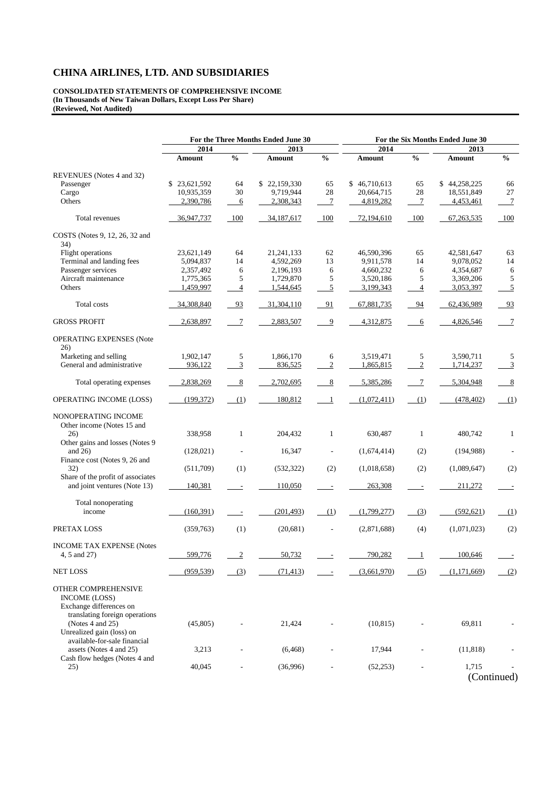**CONSOLIDATED STATEMENTS OF COMPREHENSIVE INCOME (In Thousands of New Taiwan Dollars, Except Loss Per Share) (Reviewed, Not Audited)** 

|                                                                                                          | For the Three Months Ended June 30 |                |              |                  | For the Six Months Ended June 30 |                |              |                 |  |  |
|----------------------------------------------------------------------------------------------------------|------------------------------------|----------------|--------------|------------------|----------------------------------|----------------|--------------|-----------------|--|--|
|                                                                                                          | 2014                               |                | 2013         |                  | 2014                             |                | 2013         |                 |  |  |
|                                                                                                          | Amount                             | $\frac{0}{0}$  | Amount       | $\frac{0}{0}$    | <b>Amount</b>                    | $\frac{0}{0}$  | Amount       | $\frac{0}{6}$   |  |  |
| REVENUES (Notes 4 and 32)                                                                                |                                    |                |              |                  |                                  |                |              |                 |  |  |
| Passenger                                                                                                | \$23,621,592                       | 64             | \$22,159,330 | 65               | \$46,710,613                     | 65             | \$44,258,225 | 66              |  |  |
| Cargo                                                                                                    | 10,935,359                         | 30             | 9,719,944    | 28               | 20,664,715                       | 28             | 18,551,849   | 27              |  |  |
| Others                                                                                                   | 2,390,786                          | 6              | 2,308,343    | $\boldsymbol{7}$ | 4,819,282                        | $\tau$         | 4,453,461    | $7\phantom{.0}$ |  |  |
| Total revenues                                                                                           | 36,947,737                         | 100            | 34,187,617   | 100              | 72,194,610                       | 100            | 67, 263, 535 | 100             |  |  |
| COSTS (Notes 9, 12, 26, 32 and                                                                           |                                    |                |              |                  |                                  |                |              |                 |  |  |
| 34)<br>Flight operations                                                                                 | 23,621,149                         | 64             | 21,241,133   | 62               | 46,590,396                       | 65             | 42,581,647   | 63              |  |  |
| Terminal and landing fees                                                                                | 5,094,837                          | 14             | 4,592,269    | 13               | 9,911,578                        | 14             | 9,078,052    | 14              |  |  |
|                                                                                                          |                                    |                |              |                  |                                  |                |              |                 |  |  |
| Passenger services                                                                                       | 2,357,492                          | 6              | 2,196,193    | 6                | 4,660,232                        | 6              | 4,354,687    | 6               |  |  |
| Aircraft maintenance                                                                                     | 1,775,365                          | 5              | 1,729,870    | 5                | 3,520,186                        | 5              | 3,369,206    | $\sqrt{5}$      |  |  |
| Others                                                                                                   | 1,459,997                          | 4              | 1,544,645    | 5                | 3,199,343                        | $\overline{4}$ | 3,053,397    | 5               |  |  |
| Total costs                                                                                              | 34,308,840                         | 93             | 31,304,110   | 91               | 67,881,735                       | 94             | 62,436,989   | 93              |  |  |
| <b>GROSS PROFIT</b>                                                                                      | 2,638,897                          | $\tau$         | 2,883,507    | 9                | 4,312,875                        | 6              | 4,826,546    | $\overline{7}$  |  |  |
| <b>OPERATING EXPENSES (Note</b><br>26)                                                                   |                                    |                |              |                  |                                  |                |              |                 |  |  |
| Marketing and selling                                                                                    | 1,902,147                          | 5              | 1,866,170    | 6                | 3,519,471                        | 5              | 3,590,711    | 5               |  |  |
| General and administrative                                                                               | 936,122                            | 3              | 836,525      | $\boldsymbol{2}$ | 1,865,815                        | $\mathfrak{2}$ | 1,714,237    | 3               |  |  |
| Total operating expenses                                                                                 | 2,838,269                          | 8              | 2,702,695    | 8                | 5,385,286                        | $\tau$         | 5,304,948    | 8               |  |  |
| OPERATING INCOME (LOSS)                                                                                  | (199, 372)                         | (1)            | 180,812      | - 1              | (1,072,411)                      | (1)            | (478, 402)   | (1)             |  |  |
| NONOPERATING INCOME<br>Other income (Notes 15 and<br>26)                                                 | 338,958                            | $\mathbf{1}$   | 204,432      | $\mathbf{1}$     | 630,487                          | $\mathbf{1}$   | 480,742      | $\mathbf{1}$    |  |  |
| Other gains and losses (Notes 9<br>and $26$ )                                                            | (128,021)                          |                | 16,347       |                  | (1,674,414)                      | (2)            | (194, 988)   |                 |  |  |
| Finance cost (Notes 9, 26 and<br>32)                                                                     | (511,709)                          | (1)            | (532, 322)   | (2)              | (1,018,658)                      | (2)            | (1,089,647)  | (2)             |  |  |
| Share of the profit of associates<br>and joint ventures (Note 13)                                        | 140,381                            |                | 110,050      |                  | 263,308                          |                | 211,272      | $\overline{a}$  |  |  |
|                                                                                                          |                                    |                |              |                  |                                  |                |              |                 |  |  |
| Total nonoperating<br>income                                                                             | (160, 391)                         |                | (201, 493)   | (1)              | (1,799,277)                      | (3)            | (592, 621)   | (1)             |  |  |
| PRETAX LOSS                                                                                              | (359,763)                          | (1)            | (20,681)     |                  | (2,871,688)                      | (4)            | (1,071,023)  | (2)             |  |  |
| <b>INCOME TAX EXPENSE (Notes</b>                                                                         |                                    |                |              |                  |                                  |                |              |                 |  |  |
| 4, 5 and 27)                                                                                             | 599,776                            | $\overline{2}$ | 50,732       |                  | 790,282                          | 1              | 100,646      |                 |  |  |
| <b>NET LOSS</b>                                                                                          | (959, 539)                         | (3)            | (71, 413)    |                  | (3,661,970)                      | (5)            | (1,171,669)  | (2)             |  |  |
| OTHER COMPREHENSIVE<br><b>INCOME</b> (LOSS)<br>Exchange differences on<br>translating foreign operations |                                    |                |              |                  |                                  |                |              |                 |  |  |
| (Notes 4 and 25)<br>Unrealized gain (loss) on<br>available-for-sale financial                            | (45,805)                           |                | 21,424       |                  | (10, 815)                        |                | 69,811       |                 |  |  |
| assets (Notes 4 and 25)<br>Cash flow hedges (Notes 4 and                                                 | 3,213                              |                | (6, 468)     |                  | 17,944                           |                | (11, 818)    |                 |  |  |
| 25)                                                                                                      | 40,045                             |                | (36,996)     |                  | (52, 253)                        |                | 1,715        | (Continued)     |  |  |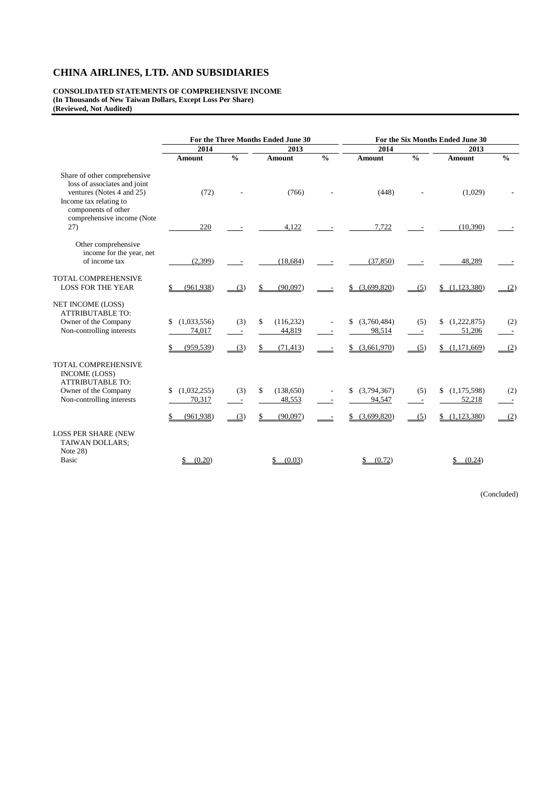**CONSOLIDATED STATEMENTS OF COMPREHENSIVE INCOME (In Thousands of New Taiwan Dollars, Except Loss Per Share) (Reviewed, Not Audited)** 

| 2014<br><b>Amount</b><br>(72)<br>220 | $\frac{0}{0}$                   | 2013<br><b>Amount</b><br>(766)<br>4,122 | $\frac{0}{0}$ | 2014<br><b>Amount</b><br>(448)                   | $\frac{0}{0}$                   | 2013<br><b>Amount</b><br>(1,029)             | $\frac{0}{0}$                          |
|--------------------------------------|---------------------------------|-----------------------------------------|---------------|--------------------------------------------------|---------------------------------|----------------------------------------------|----------------------------------------|
|                                      |                                 |                                         |               |                                                  |                                 |                                              |                                        |
|                                      |                                 |                                         |               |                                                  |                                 |                                              |                                        |
|                                      |                                 |                                         |               |                                                  |                                 |                                              |                                        |
|                                      |                                 |                                         |               | 7,722                                            |                                 | (10,390)                                     |                                        |
| (2,399)                              |                                 | (18, 684)                               |               | (37, 850)                                        |                                 | 48,289                                       |                                        |
| (961, 938)                           | (3)                             | (90.097)                                |               | (3,699,820)<br>S.                                | (5)                             | (1,123,380)                                  | (2)                                    |
| (1,033,556)<br>74,017<br>(959, 539)  | (3)<br>$\sim$<br>(3)            | (116, 232)<br>\$<br>44,819<br>(71, 413) |               | (3,760,484)<br>\$<br>98,514<br>(3,661,970)<br>\$ | (5)<br>(5)                      | (1,222,875)<br>\$<br>51,206<br>\$(1,171,669) | (2)<br>$\overline{\phantom{a}}$<br>(2) |
| (1,032,255)<br>70,317                | (3)<br>$\overline{\phantom{a}}$ | (138, 650)<br>\$<br>48,553              |               | (3,794,367)<br>\$<br>94,547                      | (5)<br>$\overline{\phantom{a}}$ | (1,175,598)<br>52,218                        | (2)                                    |
|                                      |                                 |                                         |               |                                                  |                                 |                                              | (2)                                    |
| (0.20)                               |                                 | (0.03)                                  |               |                                                  |                                 |                                              |                                        |
|                                      | (961, 938)                      | (3)                                     | (90,097)      |                                                  | (3,699,820)<br>(0.72)           | (5)                                          | (1,123,380)<br>(0.24)                  |

(Concluded)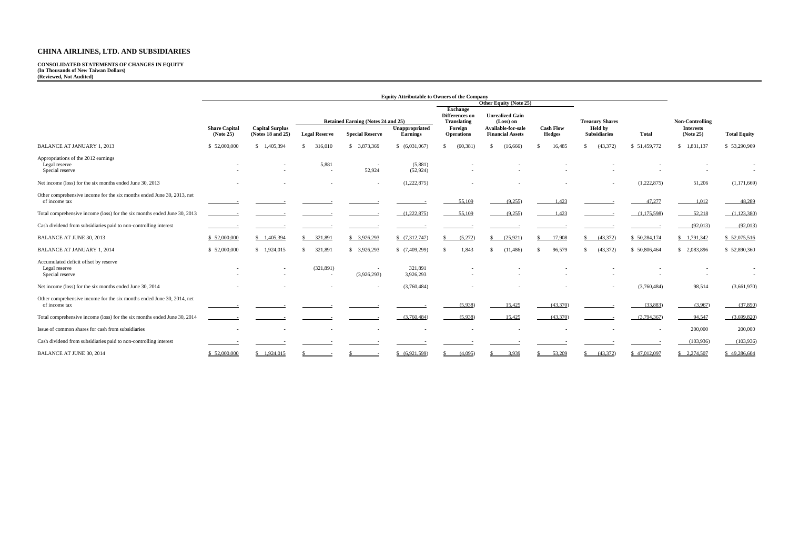#### **CONSOLIDATED STATEMENTS OF CHANGES IN EQUITY (In Thousands of New Taiwan Dollars) (Reviewed, Not Audited)**

|                                                                                         |                      |                        |                                                      |                        | <b>Equity Attributable to Owners of the Company</b> |                                                                    |                                                           |                  |                                          |              |                                            |                     |
|-----------------------------------------------------------------------------------------|----------------------|------------------------|------------------------------------------------------|------------------------|-----------------------------------------------------|--------------------------------------------------------------------|-----------------------------------------------------------|------------------|------------------------------------------|--------------|--------------------------------------------|---------------------|
|                                                                                         |                      |                        |                                                      |                        |                                                     |                                                                    | Other Equity (Note 25)                                    |                  |                                          |              |                                            |                     |
|                                                                                         | <b>Share Capital</b> | <b>Capital Surplus</b> | Retained Earning (Notes 24 and 25)<br>Unappropriated |                        |                                                     | <b>Exchange</b><br>Differences on<br><b>Translating</b><br>Foreign | <b>Unrealized Gain</b><br>(Loss) on<br>Available-for-sale | <b>Cash Flow</b> | <b>Treasury Shares</b><br><b>Held by</b> |              | <b>Non-Controlling</b><br><b>Interests</b> |                     |
|                                                                                         | (Note 25)            | (Notes 18 and 25)      | <b>Legal Reserve</b>                                 | <b>Special Reserve</b> | <b>Earnings</b>                                     | <b>Operations</b>                                                  | <b>Financial Assets</b>                                   | <b>Hedges</b>    | <b>Subsidiaries</b>                      | <b>Total</b> | (Note 25)                                  | <b>Total Equity</b> |
| <b>BALANCE AT JANUARY 1, 2013</b>                                                       | \$52,000,000         | \$1,405,394            | 316,010<br>\$.                                       | \$3,873,369            | \$ (6,031,067)                                      | (60, 381)                                                          | (16,666)<br>-\$                                           | 16,485           | (43,372)<br><sup>\$</sup>                | \$51,459,772 | \$1,831,137                                | \$53,290,909        |
| Appropriations of the 2012 earnings<br>Legal reserve<br>Special reserve                 |                      |                        | 5,881                                                | 52,924                 | (5,881)<br>(52, 924)                                |                                                                    |                                                           |                  |                                          |              |                                            | $\sim$              |
| Net income (loss) for the six months ended June 30, 2013                                |                      |                        |                                                      |                        | (1,222,875)                                         |                                                                    |                                                           |                  |                                          | (1,222,875)  | 51,206                                     | (1,171,669)         |
| Other comprehensive income for the six months ended June 30, 2013, net<br>of income tax |                      |                        |                                                      |                        |                                                     | 55,109                                                             | (9,255)                                                   | 1,423            |                                          | 47,277       | 1,012                                      | 48,289              |
| Total comprehensive income (loss) for the six months ended June 30, 2013                |                      |                        |                                                      |                        | (1,222,875)                                         | 55,109                                                             | (9,255)                                                   | 1,423            |                                          | (1,175,598)  | 52,218                                     | (1,123,380)         |
| Cash dividend from subsidiaries paid to non-controlling interest                        |                      |                        |                                                      |                        |                                                     |                                                                    |                                                           |                  |                                          |              | (92,013)                                   | (92,013)            |
| <b>BALANCE AT JUNE 30, 2013</b>                                                         | \$52,000,000         | \$1,405,394            | 321,891<br>S.                                        | \$3,926,293            | \$(7,312,747)                                       | (5,272)                                                            | (25,921)<br>-S                                            | 17,908           | $\frac{(43,372)}{2}$                     | \$50,284,174 | \$1,791,342                                | \$ 52,075,516       |
| <b>BALANCE AT JANUARY 1, 2014</b>                                                       | \$52,000,000         | \$1,924,015            | 321,891<br>-S                                        | \$3,926,293            | \$(7,409,299)                                       | 1,843                                                              | (11, 486)<br>-\$                                          | 96,579<br>-S     | (43, 372)<br>\$.                         | \$50,806,464 | \$2,083,896                                | \$52,890,360        |
| Accumulated deficit offset by reserve<br>Legal reserve<br>Special reserve               |                      |                        | (321, 891)<br>$\sim$                                 | (3,926,293)            | 321,891<br>3,926,293                                |                                                                    |                                                           |                  |                                          |              |                                            | $\sim$              |
| Net income (loss) for the six months ended June 30, 2014                                |                      |                        |                                                      |                        | (3,760,484)                                         |                                                                    |                                                           |                  |                                          | (3,760,484)  | 98,514                                     | (3,661,970)         |
| Other comprehensive income for the six months ended June 30, 2014, net<br>of income tax |                      |                        |                                                      |                        |                                                     | (5,938)                                                            | 15,425                                                    | (43,370)         |                                          | (33,883)     | (3,967)                                    | (37, 850)           |
| Total comprehensive income (loss) for the six months ended June 30, 2014                |                      |                        |                                                      |                        | (3,760,484)                                         | (5,938)                                                            | 15,425                                                    | (43,370)         |                                          | (3,794,367)  | 94,547                                     | (3,699,820)         |
| Issue of common shares for cash from subsidiaries                                       |                      |                        |                                                      |                        |                                                     |                                                                    |                                                           |                  |                                          |              | 200,000                                    | 200,000             |
| Cash dividend from subsidiaries paid to non-controlling interest                        |                      |                        |                                                      |                        |                                                     |                                                                    |                                                           |                  |                                          |              | (103,936)                                  | (103,936)           |
| <b>BALANCE AT JUNE 30, 2014</b>                                                         | \$52,000,000         | \$1,924,015            |                                                      |                        | (6,921,599)                                         | (4,095)                                                            | 3,939                                                     | 53,209           | (43,372)<br>\$.                          | \$47,012,097 | $\frac{$2,274,507}{}$                      | \$49,286,604        |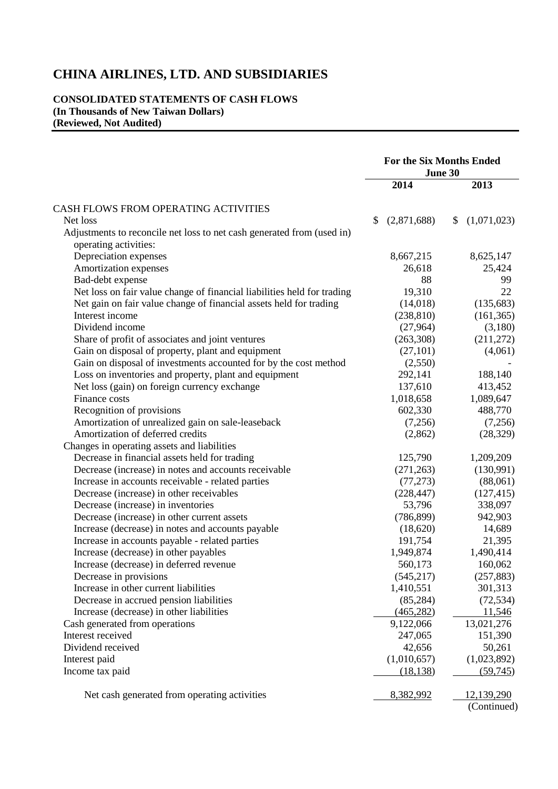### **CONSOLIDATED STATEMENTS OF CASH FLOWS (In Thousands of New Taiwan Dollars) (Reviewed, Not Audited)**

|                                                                                                 | <b>For the Six Months Ended</b><br>June 30 |                   |  |
|-------------------------------------------------------------------------------------------------|--------------------------------------------|-------------------|--|
|                                                                                                 | 2014                                       | 2013              |  |
| CASH FLOWS FROM OPERATING ACTIVITIES                                                            |                                            |                   |  |
| Net loss                                                                                        | \$<br>(2,871,688)                          | (1,071,023)<br>\$ |  |
| Adjustments to reconcile net loss to net cash generated from (used in)<br>operating activities: |                                            |                   |  |
| Depreciation expenses                                                                           | 8,667,215                                  | 8,625,147         |  |
| Amortization expenses                                                                           | 26,618                                     | 25,424            |  |
| Bad-debt expense                                                                                | 88                                         | 99                |  |
| Net loss on fair value change of financial liabilities held for trading                         | 19,310                                     | 22                |  |
| Net gain on fair value change of financial assets held for trading                              | (14,018)                                   | (135, 683)        |  |
| Interest income                                                                                 | (238, 810)                                 | (161, 365)        |  |
| Dividend income                                                                                 | (27,964)                                   | (3,180)           |  |
| Share of profit of associates and joint ventures                                                | (263,308)                                  | (211,272)         |  |
| Gain on disposal of property, plant and equipment                                               | (27,101)                                   | (4,061)           |  |
| Gain on disposal of investments accounted for by the cost method                                | (2,550)                                    |                   |  |
| Loss on inventories and property, plant and equipment                                           | 292,141                                    | 188,140           |  |
| Net loss (gain) on foreign currency exchange                                                    | 137,610                                    | 413,452           |  |
| Finance costs                                                                                   | 1,018,658                                  | 1,089,647         |  |
| Recognition of provisions                                                                       | 602,330                                    | 488,770           |  |
| Amortization of unrealized gain on sale-leaseback                                               | (7,256)                                    | (7,256)           |  |
| Amortization of deferred credits                                                                | (2,862)                                    | (28, 329)         |  |
| Changes in operating assets and liabilities                                                     |                                            |                   |  |
| Decrease in financial assets held for trading                                                   | 125,790                                    | 1,209,209         |  |
| Decrease (increase) in notes and accounts receivable                                            | (271, 263)                                 | (130,991)         |  |
| Increase in accounts receivable - related parties                                               | (77, 273)                                  | (88,061)          |  |
| Decrease (increase) in other receivables                                                        | (228, 447)                                 | (127, 415)        |  |
| Decrease (increase) in inventories                                                              | 53,796                                     | 338,097           |  |
| Decrease (increase) in other current assets                                                     | (786, 899)                                 | 942,903           |  |
| Increase (decrease) in notes and accounts payable                                               | (18,620)                                   | 14,689            |  |
| Increase in accounts payable - related parties                                                  | 191,754                                    | 21,395            |  |
| Increase (decrease) in other payables                                                           | 1,949,874                                  | 1,490,414         |  |
| Increase (decrease) in deferred revenue                                                         | 560,173                                    | 160,062           |  |
| Decrease in provisions                                                                          | (545, 217)                                 | (257, 883)        |  |
| Increase in other current liabilities                                                           | 1,410,551                                  | 301,313           |  |
| Decrease in accrued pension liabilities                                                         | (85, 284)                                  | (72, 534)         |  |
| Increase (decrease) in other liabilities                                                        | (465, 282)                                 | 11,546            |  |
| Cash generated from operations                                                                  | 9,122,066                                  | 13,021,276        |  |
| Interest received                                                                               | 247,065                                    | 151,390           |  |
| Dividend received                                                                               | 42,656                                     | 50,261            |  |
| Interest paid                                                                                   | (1,010,657)                                | (1,023,892)       |  |
| Income tax paid                                                                                 | (18, 138)                                  | (59, 745)         |  |
|                                                                                                 |                                            |                   |  |
| Net cash generated from operating activities                                                    | 8,382,992                                  | 12,139,290        |  |
|                                                                                                 |                                            | (Continued)       |  |